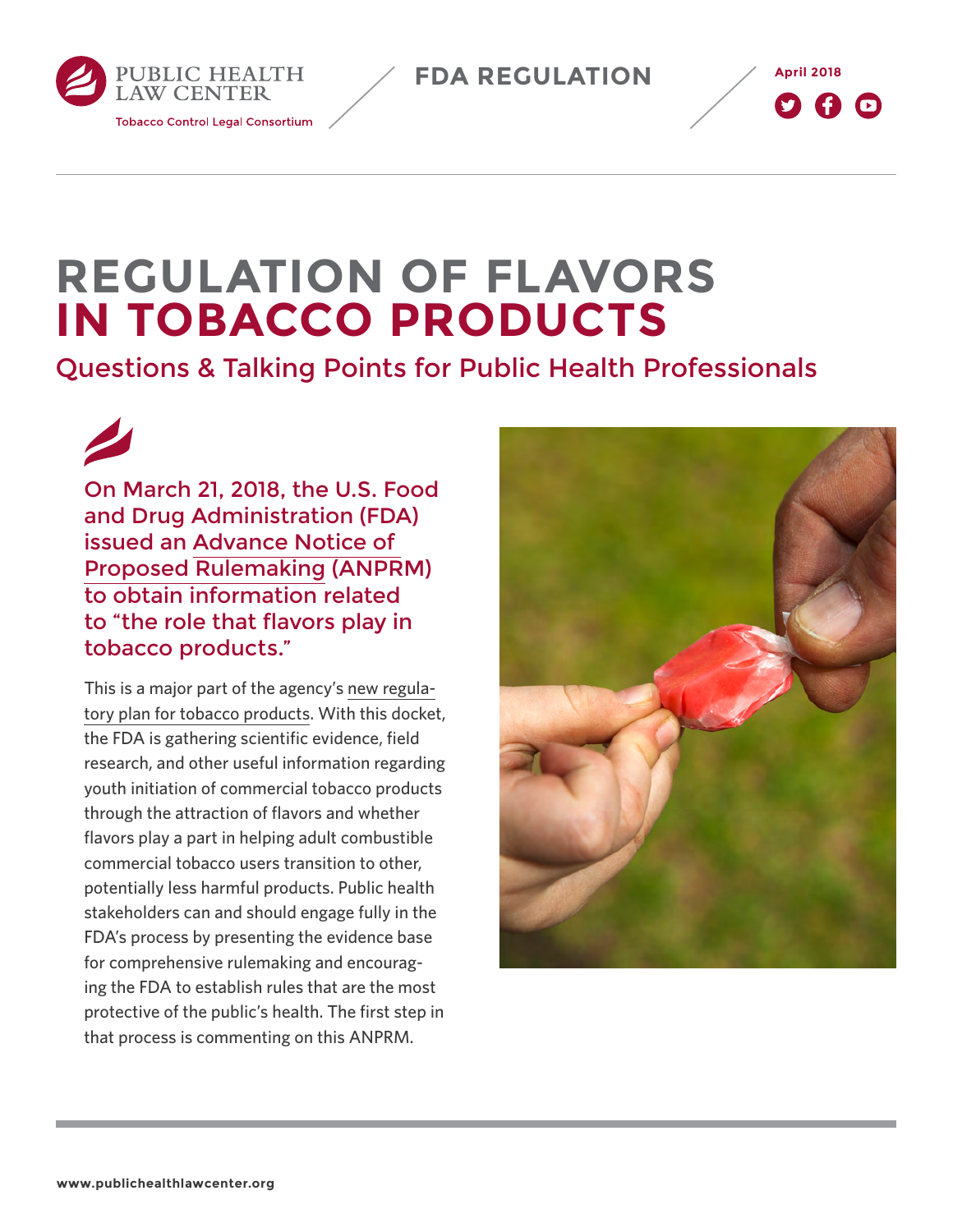**FDA REGULATION**



# **REGULATION OF FLAVORS IN TOBACCO PRODUCTS**

# Questions & Talking Points for Public Health Professionals

On March 21, 2018, the U.S. Food and Drug Administration (FDA) issued an [Advance Notice of](https://www.federalregister.gov/documents/2018/03/21/2018-05655/regulation-of-flavors-in-tobacco-products)  [Proposed Rulemaking](https://www.federalregister.gov/documents/2018/03/21/2018-05655/regulation-of-flavors-in-tobacco-products) (ANPRM) to obtain information related to "the role that flavors play in tobacco products."

PUBLIC HEALTH **LAW CENTER** 

**Tobacco Control Legal Consortium** 

This is a major part of the agency's [new regula](http://www.publichealthlawcenter.org/topics/tobacco-control/fda-tobacco-action-center/fda%E2%80%99s-new-regulatory-plan)[tory plan for tobacco products](http://www.publichealthlawcenter.org/topics/tobacco-control/fda-tobacco-action-center/fda%E2%80%99s-new-regulatory-plan). With this docket, the FDA is gathering scientific evidence, field research, and other useful information regarding youth initiation of commercial tobacco products through the attraction of flavors and whether flavors play a part in helping adult combustible commercial tobacco users transition to other, potentially less harmful products. Public health stakeholders can and should engage fully in the FDA's process by presenting the evidence base for comprehensive rulemaking and encouraging the FDA to establish rules that are the most protective of the public's health. The first step in that process is commenting on this ANPRM.

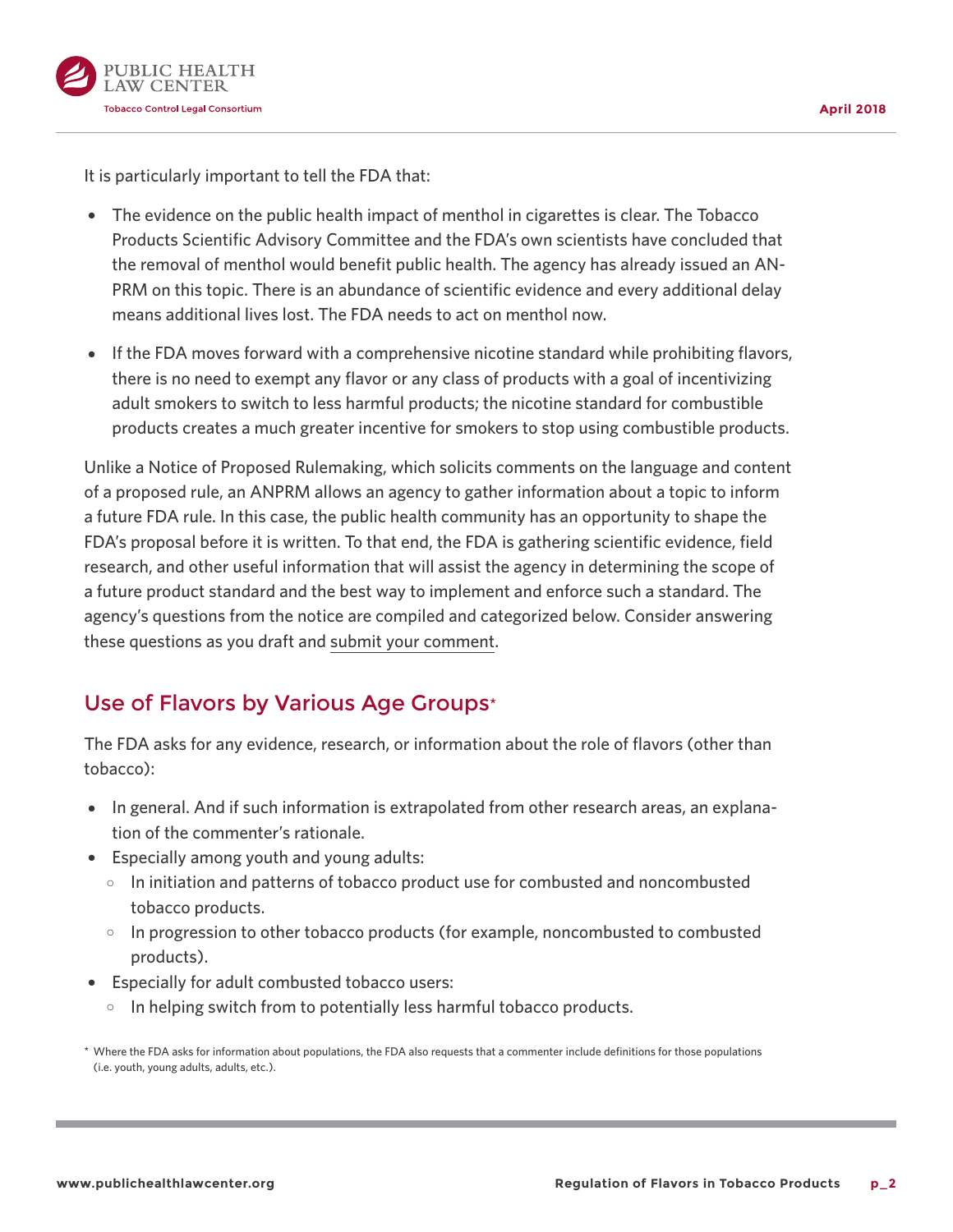

It is particularly important to tell the FDA that:

- The evidence on the public health impact of menthol in cigarettes is clear. The Tobacco Products Scientific Advisory Committee and the FDA's own scientists have concluded that the removal of menthol would benefit public health. The agency has already issued an AN-PRM on this topic. There is an abundance of scientific evidence and every additional delay means additional lives lost. The FDA needs to act on menthol now.
- If the FDA moves forward with a comprehensive nicotine standard while prohibiting flavors, there is no need to exempt any flavor or any class of products with a goal of incentivizing adult smokers to switch to less harmful products; the nicotine standard for combustible products creates a much greater incentive for smokers to stop using combustible products.

Unlike a Notice of Proposed Rulemaking, which solicits comments on the language and content of a proposed rule, an ANPRM allows an agency to gather information about a topic to inform a future FDA rule. In this case, the public health community has an opportunity to shape the FDA's proposal before it is written. To that end, the FDA is gathering scientific evidence, field research, and other useful information that will assist the agency in determining the scope of a future product standard and the best way to implement and enforce such a standard. The agency's questions from the notice are compiled and categorized below. Consider answering these questions as you draft and [submit your comment](https://www.regulations.gov/docket?D=FDA-2017-N-6189).

#### Use of Flavors by Various Age Groups\*

The FDA asks for any evidence, research, or information about the role of flavors (other than tobacco):

- In general. And if such information is extrapolated from other research areas, an explanation of the commenter's rationale.
- Especially among youth and young adults:
	- $\circ$  In initiation and patterns of tobacco product use for combusted and noncombusted tobacco products.
	- $\circ$  In progression to other tobacco products (for example, noncombusted to combusted products).
- Especially for adult combusted tobacco users:
	- $\circ$  In helping switch from to potentially less harmful tobacco products.

<sup>\*</sup> Where the FDA asks for information about populations, the FDA also requests that a commenter include definitions for those populations (i.e. youth, young adults, adults, etc.).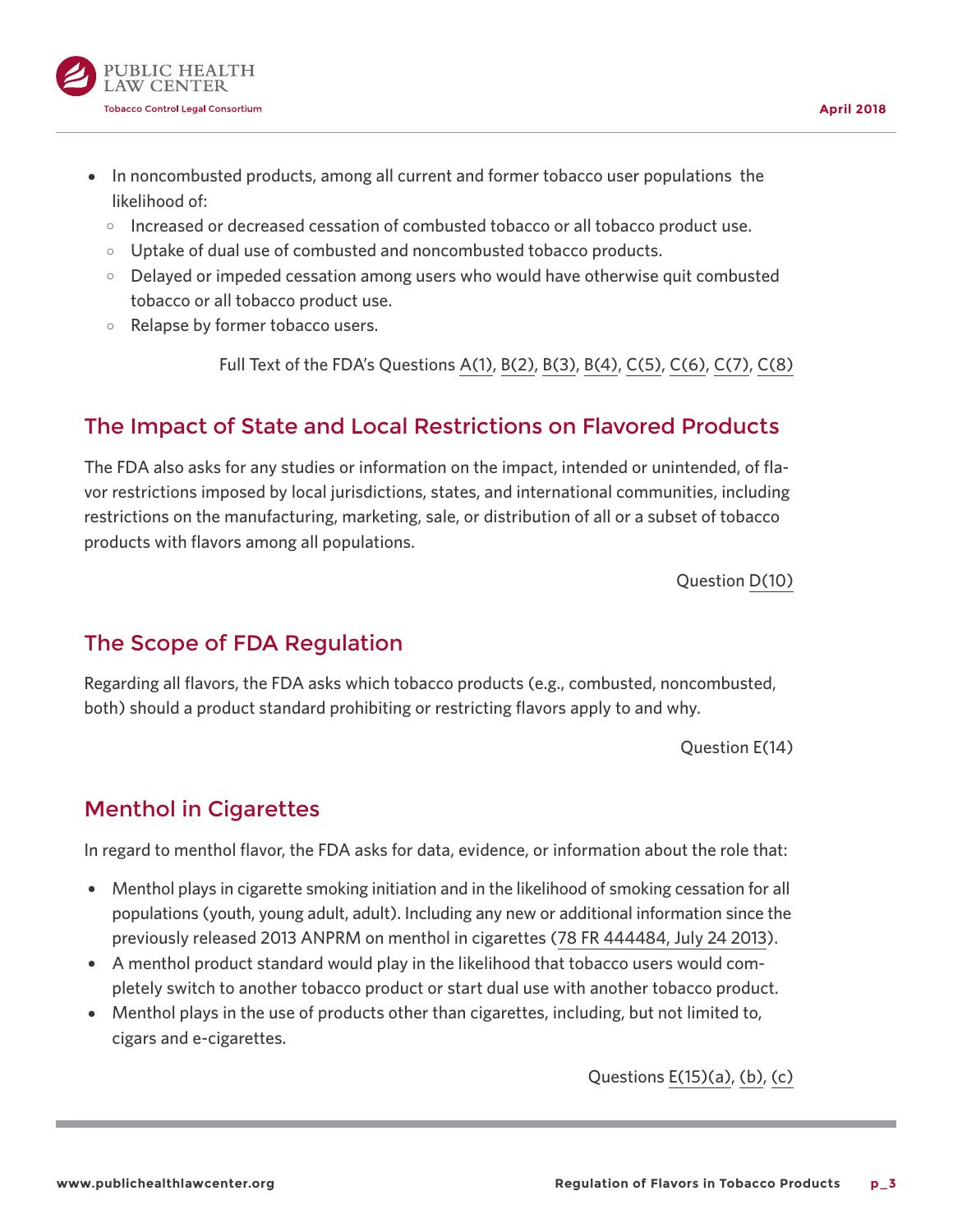

- In noncombusted products, among all current and former tobacco user populations the likelihood of:
	- $\circ$  Increased or decreased cessation of combusted tobacco or all tobacco product use.
	- $\circ$  Uptake of dual use of combusted and noncombusted tobacco products.
	- $\circ$  Delayed or impeded cessation among users who would have otherwise quit combusted tobacco or all tobacco product use.
	- $\circ$  Relapse by former tobacco users.

Full Text of the FDA's Questions [A\(1\),](https://www.federalregister.gov/d/2018-05655/p-49) [B\(2\),](https://www.federalregister.gov/d/2018-05655/p-50) [B\(3\)](https://www.federalregister.gov/d/2018-05655/p-51), [B\(4\)](https://www.federalregister.gov/d/2018-05655/p-52), [C\(5\)](https://www.federalregister.gov/d/2018-05655/p-53), [C\(6\),](https://www.federalregister.gov/d/2018-05655/p-54) [C\(7\),](https://www.federalregister.gov/d/2018-05655/p-55) [C\(8\)](https://www.federalregister.gov/d/2018-05655/p-56)

#### The Impact of State and Local Restrictions on Flavored Products

The FDA also asks for any studies or information on the impact, intended or unintended, of flavor restrictions imposed by local jurisdictions, states, and international communities, including restrictions on the manufacturing, marketing, sale, or distribution of all or a subset of tobacco products with flavors among all populations.

Question [D\(10\)](https://www.federalregister.gov/d/2018-05655/p-58)

#### The Scope of FDA Regulation

Regarding all flavors, the FDA asks which tobacco products (e.g., combusted, noncombusted, both) should a product standard prohibiting or restricting flavors apply to and why.

Question E(14)

#### Menthol in Cigarettes

In regard to menthol flavor, the FDA asks for data, evidence, or information about the role that:

- Menthol plays in cigarette smoking initiation and in the likelihood of smoking cessation for all populations (youth, young adult, adult). Including any new or additional information since the previously released 2013 ANPRM on menthol in cigarettes [\(78 FR 444484, July 24 2013\)](https://www.federalregister.gov/citation/78-FR-44484).
- A menthol product standard would play in the likelihood that tobacco users would completely switch to another tobacco product or start dual use with another tobacco product.
- Menthol plays in the use of products other than cigarettes, including, but not limited to, cigars and e-cigarettes.

Questions [E\(15\)\(a\)](https://www.federalregister.gov/d/2018-05655/p-66), [\(b\)](https://www.federalregister.gov/d/2018-05655/p-67), [\(c\)](https://www.federalregister.gov/d/2018-05655/p-68)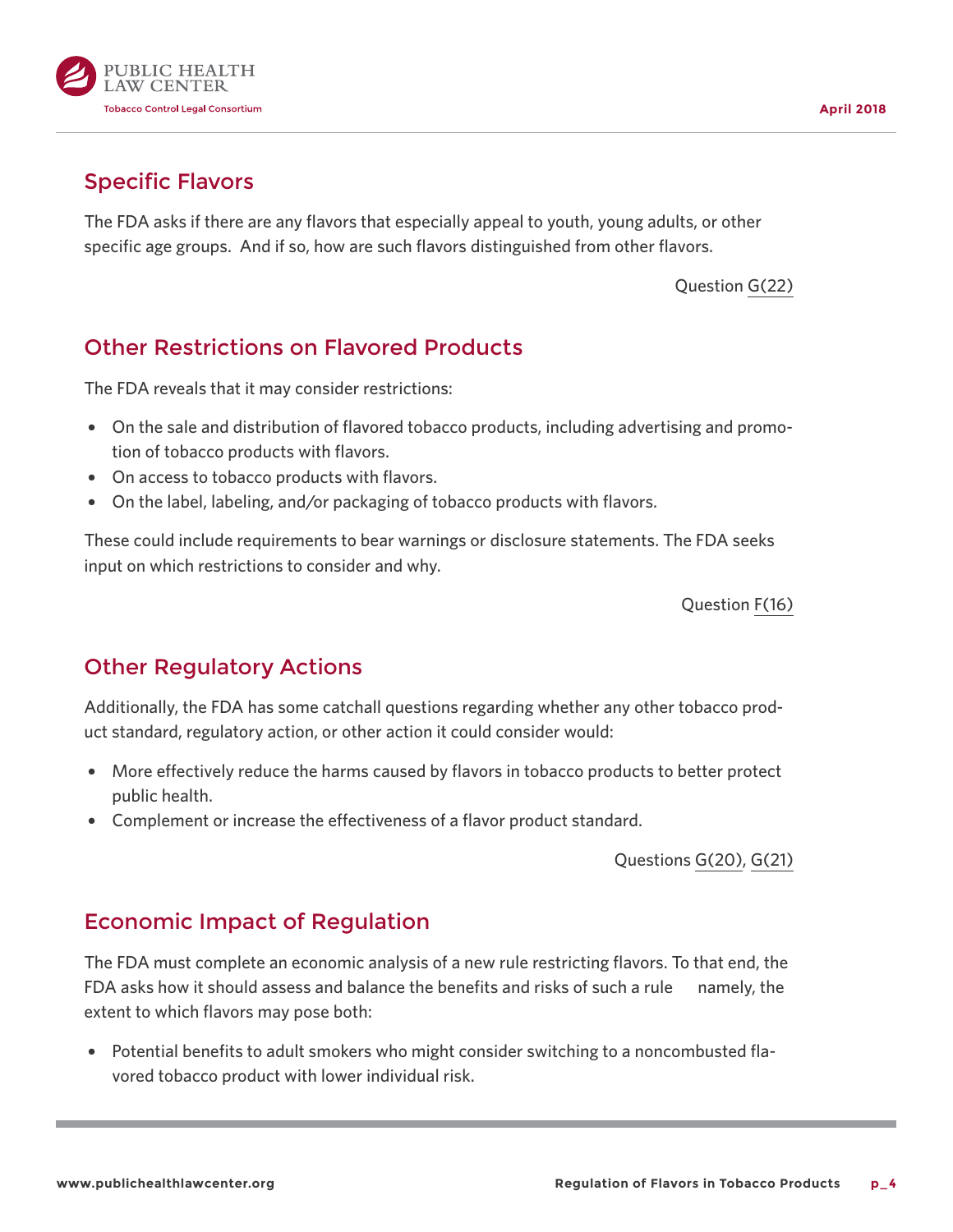

## Specific Flavors

The FDA asks if there are any flavors that especially appeal to youth, young adults, or other specific age groups. And if so, how are such flavors distinguished from other flavors.

Question [G\(22\)](https://www.federalregister.gov/d/2018-05655/p-75)

# Other Restrictions on Flavored Products

The FDA reveals that it may consider restrictions:

- On the sale and distribution of flavored tobacco products, including advertising and promotion of tobacco products with flavors.
- On access to tobacco products with flavors.
- { On the label, labeling, and/or packaging of tobacco products with flavors.

These could include requirements to bear warnings or disclosure statements. The FDA seeks input on which restrictions to consider and why.

Question [F\(16\)](https://www.federalregister.gov/d/2018-05655/p-69)

# Other Regulatory Actions

Additionally, the FDA has some catchall questions regarding whether any other tobacco product standard, regulatory action, or other action it could consider would:

- { More effectively reduce the harms caused by flavors in tobacco products to better protect public health.
- Complement or increase the effectiveness of a flavor product standard.

Questions [G\(20\)](https://www.federalregister.gov/d/2018-05655/p-73), [G\(21\)](https://www.federalregister.gov/d/2018-05655/p-74)

### Economic Impact of Regulation

The FDA must complete an economic analysis of a new rule restricting flavors. To that end, the FDA asks how it should assess and balance the benefits and risks of such a rule ̶ namely, the extent to which flavors may pose both:

• Potential benefits to adult smokers who might consider switching to a noncombusted flavored tobacco product with lower individual risk.